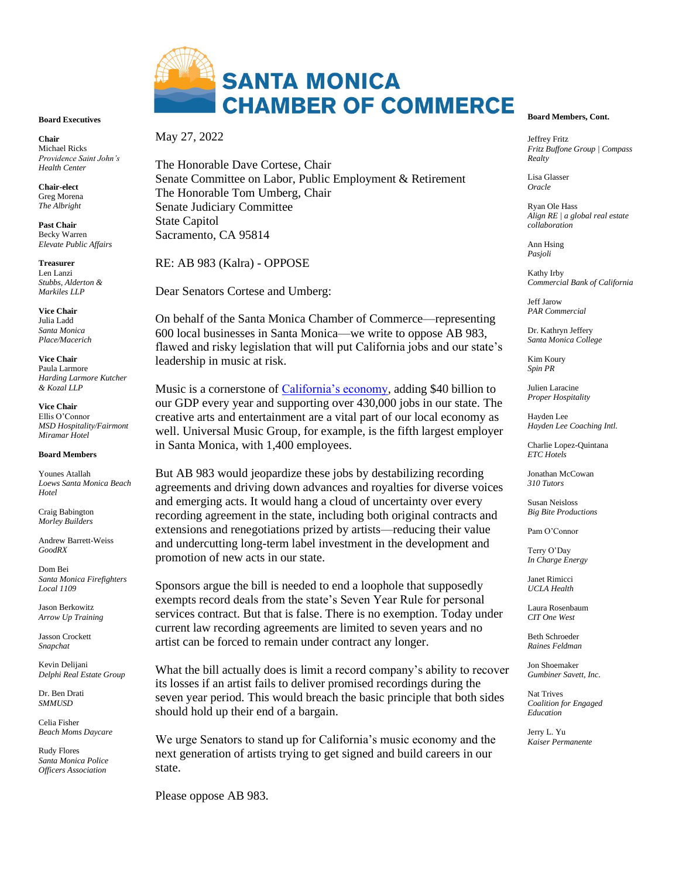

## **Board Executives**

**Chair**  Michael Ricks *Providence Saint John's Health Center*

**Chair-elect** Greg Morena *The Albright*

**Past Chair** Becky Warren *Elevate Public Affairs*

**Treasurer** Len Lanzi *Stubbs, Alderton & Markiles LLP*

**Vice Chair** Julia Ladd *Santa Monica Place/Macerich*

**Vice Chair** Paula Larmore *Harding Larmore Kutcher & Kozal LLP*

**Vice Chair** Ellis O'Connor *MSD Hospitality/Fairmont Miramar Hotel*

#### **Board Members**

Younes Atallah *Loews Santa Monica Beach Hotel*

Craig Babington *Morley Builders*

Andrew Barrett-Weiss *GoodRX*

Dom Bei *Santa Monica Firefighters Local 1109*

Jason Berkowitz *Arrow Up Training*

Jasson Crockett *Snapchat*

Kevin Delijani *Delphi Real Estate Group*

Dr. Ben Drati *SMMUSD*

Celia Fisher *Beach Moms Daycare*

Rudy Flores *Santa Monica Police Officers Association*

## May 27, 2022

The Honorable Dave Cortese, Chair Senate Committee on Labor, Public Employment & Retirement The Honorable Tom Umberg, Chair Senate Judiciary Committee State Capitol Sacramento, CA 95814

RE: AB 983 (Kalra) - OPPOSE

Dear Senators Cortese and Umberg:

On behalf of the Santa Monica Chamber of Commerce—representing 600 local businesses in Santa Monica—we write to oppose AB 983, flawed and risky legislation that will put California jobs and our state's leadership in music at risk.

Music is a cornerstone of [California's economy,](https://50statesofmusic.com/state/california/) adding \$40 billion to our GDP every year and supporting over 430,000 jobs in our state. The creative arts and entertainment are a vital part of our local economy as well. Universal Music Group, for example, is the fifth largest employer in Santa Monica, with 1,400 employees.

But AB 983 would jeopardize these jobs by destabilizing recording agreements and driving down advances and royalties for diverse voices and emerging acts. It would hang a cloud of uncertainty over every recording agreement in the state, including both original contracts and extensions and renegotiations prized by artists—reducing their value and undercutting long-term label investment in the development and promotion of new acts in our state.

Sponsors argue the bill is needed to end a loophole that supposedly exempts record deals from the state's Seven Year Rule for personal services contract. But that is false. There is no exemption. Today under current law recording agreements are limited to seven years and no artist can be forced to remain under contract any longer.

What the bill actually does is limit a record company's ability to recover its losses if an artist fails to deliver promised recordings during the seven year period. This would breach the basic principle that both sides should hold up their end of a bargain.

We urge Senators to stand up for California's music economy and the next generation of artists trying to get signed and build careers in our state.

Please oppose AB 983.

## **Board Members, Cont.**

Jeffrey Fritz *Fritz Buffone Group | Compass Realty*

Lisa Glasser *Oracle*

Ryan Ole Hass *Align RE | a global real estate collaboration*

Ann Hsing *Pasjoli*

Kathy Irby *Commercial Bank of California*

Jeff Jarow *PAR Commercial*

Dr. Kathryn Jeffery *Santa Monica College* 

Kim Koury *Spin PR* 

Julien Laracine *Proper Hospitality* 

Hayden Lee *Hayden Lee Coaching Intl.*

Charlie Lopez-Quintana *ETC Hotels*

Jonathan McCowan *310 Tutors*

Susan Neisloss *Big Bite Productions* 

Pam O'Connor

Terry O'Day *In Charge Energy*

Janet Rimicci *UCLA Health*

Laura Rosenbaum *CIT One West*

Beth Schroeder *Raines Feldman*

Jon Shoemaker *Gumbiner Savett, Inc.*

Nat Trives *Coalition for Engaged Education*

Jerry L. Yu *Kaiser Permanente*